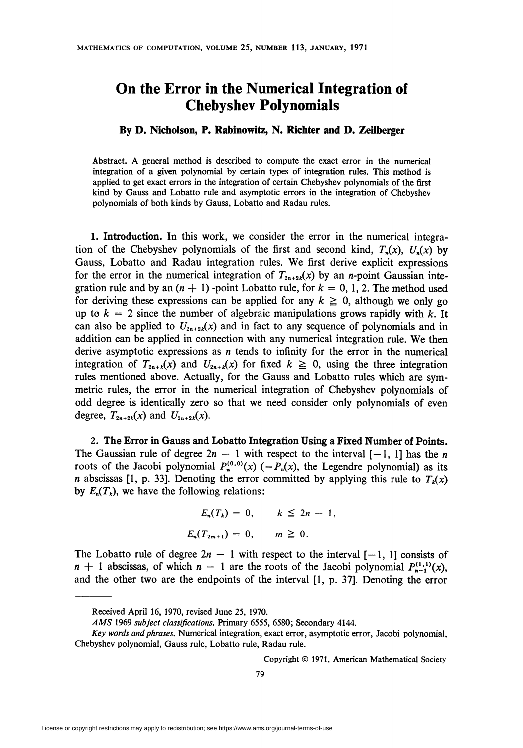## On the Error in the Numerical Integration of Chebyshev Polynomials

## By D. Nicholson, P. Rabinowitz, N. Richter and D. Zeilberger

Abstract. A general method is described to compute the exact error in the numerical integration of a given polynomial by certain types of integration rules. This method is applied to get exact errors in the integration of certain Chebyshev polynomials of the first kind by Gauss and Lobatto rule and asymptotic errors in the integration of Chebyshev polynomials of both kinds by Gauss, Lobatto and Radau rules.

1. Introduction. In this work, we consider the error in the numerical integration of the Chebyshev polynomials of the first and second kind,  $T_n(x)$ ,  $U_n(x)$  by Gauss, Lobatto and Radau integration rules. We first derive explicit expressions for the error in the numerical integration of  $T_{2n+2k}(x)$  by an *n*-point Gaussian integration rule and by an  $(n + 1)$  -point Lobatto rule, for  $k = 0, 1, 2$ . The method used for deriving these expressions can be applied for any  $k \geq 0$ , although we only go up to  $k = 2$  since the number of algebraic manipulations grows rapidly with k. It can also be applied to  $U_{2n+2k}(x)$  and in fact to any sequence of polynomials and in addition can be applied in connection with any numerical integration rule. We then derive asymptotic expressions as  $n$  tends to infinity for the error in the numerical integration of  $T_{2n+k}(x)$  and  $U_{2n+k}(x)$  for fixed  $k \ge 0$ , using the three integration rules mentioned above. Actually, for the Gauss and Lobatto rules which are symmetric rules, the error in the numerical integration of Chebyshev polynomials of odd degree is identically zero so that we need consider only polynomials of even degree,  $T_{2n+2k}(x)$  and  $U_{2n+2k}(x)$ .

2. The Error in Gauss and Lobatto Integration Using a Fixed Number of Points. The Gaussian rule of degree  $2n - 1$  with respect to the interval  $[-1, 1]$  has the n roots of the Jacobi polynomial  $P_n^{(0,0)}(x)$  (=  $P_n(x)$ , the Legendre polynomial) as its *n* abscissas [1, p. 33]. Denoting the error committed by applying this rule to  $T_k(x)$ by  $E_n(T_k)$ , we have the following relations:

$$
E_n(T_k) = 0, \qquad k \leq 2n - 1,
$$
  

$$
E_n(T_{2m+1}) = 0, \qquad m \geq 0.
$$

The Lobatto rule of degree  $2n - 1$  with respect to the interval  $[-1, 1]$  consists of  $n + 1$  abscissas, of which  $n - 1$  are the roots of the Jacobi polynomial  $P_{n-1}^{(1,1)}(x)$ , and the other two are the endpoints of the interval [1, p. 37]. Denoting the error

Copyright © 1971, American Mathematical Society

Received April 16, 1970, revised June 25, 1970.

AMS 1969 subject classifications. Primary 6555, 6580; Secondary 4144.

Key words and phrases. Numerical integration, exact error, asymptotic error, Jacobi polynomial, Chebyshev polynomial, Gauss rule, Lobatto rule, Radau rule.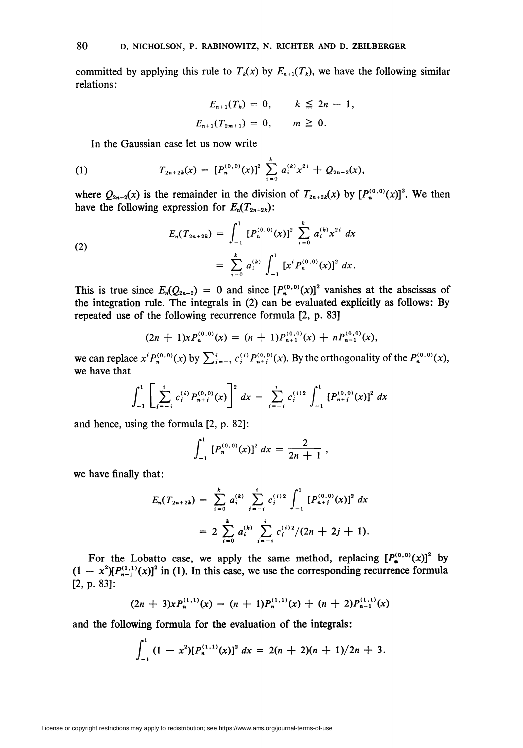committed by applying this rule to  $T_k(x)$  by  $E_{n+1}(T_k)$ , we have the following similar relations:

$$
E_{n+1}(T_k) = 0, \qquad k \leq 2n - 1,
$$
  

$$
E_{n+1}(T_{2m+1}) = 0, \qquad m \geq 0.
$$

In the Gaussian case let us now write

(1) 
$$
T_{2n+2k}(x) = [P_n^{(0,0)}(x)]^2 \sum_{i=0}^k a_i^{(k)} x^{2i} + Q_{2n-2}(x),
$$

where  $Q_{2n-2}(x)$  is the remainder in the division of  $T_{2n+2k}(x)$  by  $[P_n^{(0,0)}(x)]^2$ . We then have the following expression for  $E_n(T_{2n+2k})$ :

(2)  

$$
E_n(T_{2n+2k}) = \int_{-1}^1 [P_n^{(0,0)}(x)]^2 \sum_{i=0}^k a_i^{(k)} x^{2i} dx
$$

$$
= \sum_{i=0}^k a_i^{(k)} \int_{-1}^1 [x^i P_n^{(0,0)}(x)]^2 dx.
$$

This is true since  $E_n(Q_{2n-2}) = 0$  and since  $[P_n^{(0,0)}(x)]^2$  vanishes at the abscissas of the integration rule. The integrals in (2) can be evaluated explicitly as follows: By repeated use of the following recurrence formula [2, p. 83]

$$
(2n + 1)x P_n^{(0,0)}(x) = (n + 1) P_{n+1}^{(0,0)}(x) + n P_{n-1}^{(0,0)}(x),
$$

we can replace  $x^i P_n^{(0,0)}(x)$  by  $\sum_{i=-i}^{i} c_i^{(i)} P_{n+i}^{(0,0)}(x)$ . By the orthogonality of the  $P_n^{(0,0)}(x)$ , we have that

$$
\int_{-1}^{1} \left[ \sum_{j=-i}^{i} c_{j}^{(i)} P_{n+j}^{(0,0)}(x) \right]^{2} dx = \sum_{j=-i}^{i} c_{j}^{(i)2} \int_{-1}^{1} \left[ P_{n+j}^{(0,0)}(x) \right]^{2} dx
$$

and hence, using the formula [2, p. 82]:

$$
\int_{-1}^1 [P_n^{(0,0)}(x)]^2 dx = \frac{2}{2n+1},
$$

we have finally that:

$$
E_n(T_{2n+2k}) = \sum_{i=0}^k a_i^{(k)} \sum_{j=-i}^i c_j^{(i)2} \int_{-1}^1 [P_{n+j}^{(0,0)}(x)]^2 dx
$$
  
=  $2 \sum_{i=0}^k a_i^{(k)} \sum_{j=-i}^i c_j^{(i)2} / (2n+2j+1).$ 

For the Lobatto case, we apply the same method, replacing  $[P_{\bullet}^{(0,0)}(x)]^2$  by  $(1 - x^2)[P_{n-1}^{(1,1)}(x)]^2$  in (1). In this case, we use the corresponding recurrence formula [2, p. 83]:

$$
(2n + 3)xP_n^{(1,1)}(x) = (n + 1)P_n^{(1,1)}(x) + (n + 2)P_{n-1}^{(1,1)}(x)
$$

and the following formula for the evaluation of the integrals:

$$
\int_{-1}^1 (1-x^2)[P_n^{(1,1)}(x)]^2 dx = 2(n+2)(n+1)/2n+3.
$$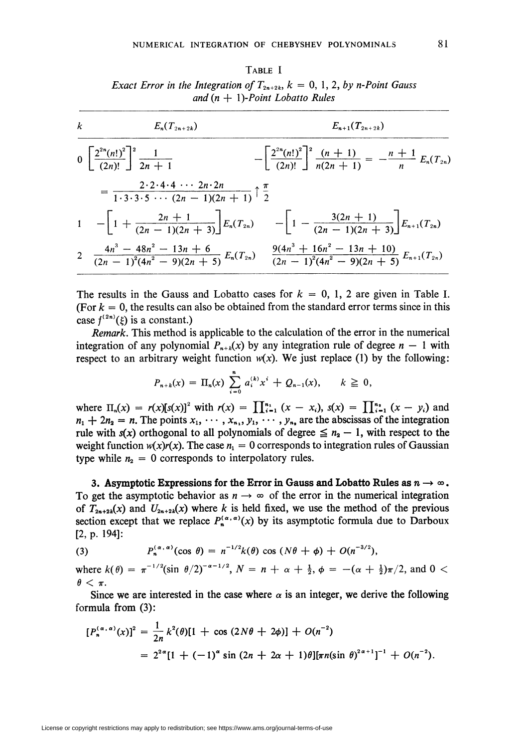Table I Exact Error in the Integration of  $T_{2n+2k}$ ,  $k = 0, 1, 2, by n-Point Gauss$ and  $(n + 1)$ -Point Lobatto Rules

$$
\frac{k}{\left(2^{2n}(n!)^2\right)^2} \frac{1}{2n+1} - \left[\frac{2^{2n}(n!)^2}{(2n)!}\right]^2 \frac{(n+1)}{n(2n+1)} = -\frac{n+1}{n} E_n(T_{2n})
$$
\n
$$
= \frac{2 \cdot 2 \cdot 4 \cdot 4 \cdot \cdot \cdot 2n \cdot 2n}{1 \cdot 3 \cdot 3 \cdot 5 \cdot \cdot \cdot (2n-1)(2n+1)} \uparrow \frac{\pi}{2}
$$
\n
$$
1 - \left[1 + \frac{2n+1}{(2n-1)(2n+3)}\right] E_n(T_{2n}) - \left[1 - \frac{3(2n+1)}{(2n-1)(2n+3)}\right] E_{n+1}(T_{2n})
$$
\n
$$
2 \frac{4n^3 - 48n^2 - 13n + 6}{(2n-1)^2(4n^2 - 9)(2n+5)} E_n(T_{2n}) - \frac{9(4n^3 + 16n^2 - 13n + 10)}{(2n-1)^2(4n^2 - 9)(2n+5)} E_{n+1}(T_{2n})
$$

The results in the Gauss and Lobatto cases for  $k = 0, 1, 2$  are given in Table I. (For  $k = 0$ , the results can also be obtained from the standard error terms since in this case  $f^{(2n)}(\xi)$  is a constant.)

Remark. This method is applicable to the calculation of the error in the numerical integration of any polynomial  $P_{n+k}(x)$  by any integration rule of degree  $n-1$  with respect to an arbitrary weight function  $w(x)$ . We just replace (1) by the following:

$$
P_{n+k}(x) = \Pi_n(x) \sum_{i=0}^n a_i^{(k)} x^i + Q_{n-1}(x), \qquad k \geq 0,
$$

where  $\Pi_n(x) = r(x)[s(x)]^2$  with  $r(x) = \prod_{i=1}^{n_1} (x - x_i)$ ,  $s(x) = \prod_{i=1}^{n_2} (x - y_i)$  and  $n_1 + 2n_2 = n$ . The points  $x_1, \dots, x_{n_1}, y_1, \dots, y_{n_n}$  are the abscissas of the integration rule with  $s(x)$  orthogonal to all polynomials of degree  $\leq n_2 - 1$ , with respect to the weight function  $w(x)r(x)$ . The case  $n_1 = 0$  corresponds to integration rules of Gaussian type while  $n_2 = 0$  corresponds to interpolatory rules.

3. Asymptotic Expressions for the Error in Gauss and Lobatto Rules as  $n \to \infty$ . To get the asymptotic behavior as  $n \to \infty$  of the error in the numerical integration of  $T_{2n+2k}(x)$  and  $U_{2n+2k}(x)$  where k is held fixed, we use the method of the previous section except that we replace  $P_n^{(\alpha,\alpha)}(x)$  by its asymptotic formula due to Darboux [2, p. 194]:

(3) 
$$
P_n^{(\alpha,\alpha)}(\cos\theta) = n^{-1/2}k(\theta)\cos(N\theta + \phi) + O(n^{-3/2}),
$$

where  $k(\theta) = \pi^{-1/2}(\sin \theta/2)^{-\alpha-1/2}$ ,  $N = n + \alpha + \frac{1}{2}, \phi = -(\alpha + \frac{1}{2})\pi/2$ , and  $0 <$  $\theta < \pi$ .

Since we are interested in the case where  $\alpha$  is an integer, we derive the following formula from (3):

$$
[P_n^{(\alpha,\alpha)}(x)]^2 = \frac{1}{2n} k^2(\theta)[1 + \cos(2N\theta + 2\phi)] + O(n^{-2})
$$
  
=  $2^{2\alpha}[1 + (-1)^{\alpha}\sin(2n + 2\alpha + 1)\theta][\pi n(\sin \theta)^{2\alpha+1}]^{-1} + O(n^{-2}).$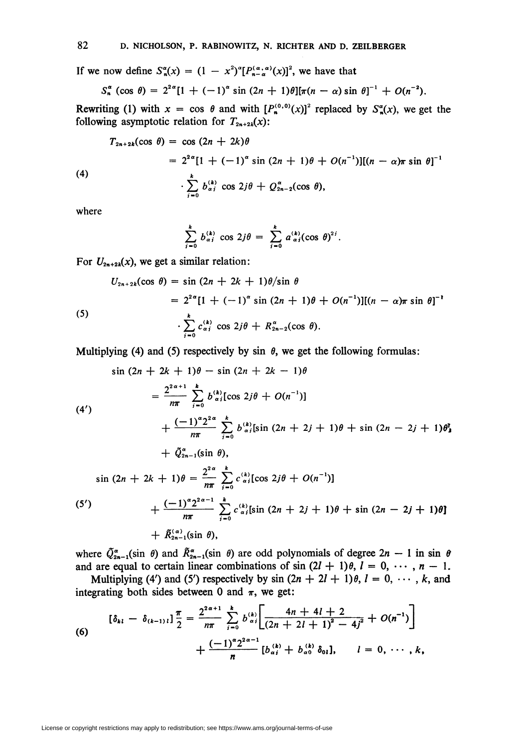If we now define  $S_n^{\alpha}(x) = (1 - x^2)^{\alpha} [P_{n-\alpha}^{(\alpha,\alpha)}(x)]^2$ , we have that

$$
S_n^{\alpha} (\cos \theta) = 2^{2\alpha} [1 + (-1)^{\alpha} \sin (2n + 1)\theta] [\pi(n - \alpha) \sin \theta]^{-1} + O(n^{-2}).
$$

Rewriting (1) with  $x = \cos \theta$  and with  $[P^{(0,0)}(x)]^2$  replaced by  $S^{\alpha}_{n}(x)$ , we get the following asymptotic relation for  $T_{2n+2k}(x)$ :

(4)  
\n
$$
T_{2n+2k}(\cos \theta) = \cos (2n + 2k)\theta
$$
\n
$$
= 2^{2\alpha} [1 + (-1)^{\alpha} \sin (2n + 1)\theta + O(n^{-1})][(n - \alpha)\pi \sin \theta]^{-1}
$$
\n
$$
\cdot \sum_{i=0}^{k} b_{\alpha j}^{(k)} \cos 2j\theta + Q_{2n-2}^{\alpha}(\cos \theta),
$$

where

$$
\sum_{j=0}^k b_{\alpha j}^{(k)} \cos 2j\theta = \sum_{j=0}^k a_{\alpha j}^{(k)} (\cos \theta)^{2j}.
$$

For  $U_{2n+2k}(x)$ , we get a similar relation:

(5)  
\n
$$
U_{2n+2k}(\cos \theta) = \sin (2n + 2k + 1)\theta / \sin \theta
$$
\n
$$
= 2^{2\alpha} [1 + (-1)^{\alpha} \sin (2n + 1)\theta + O(n^{-1})][(n - \alpha)\pi \sin \theta]^{-1}
$$
\n
$$
\cdot \sum_{j=0}^{k} c_{\alpha j}^{(k)} \cos 2j\theta + R_{2n-2}^{\alpha}(\cos \theta).
$$

Multiplying (4) and (5) respectively by sin  $\theta$ , we get the following formulas:

$$
\sin (2n + 2k + 1)\theta - \sin (2n + 2k - 1)\theta
$$
\n
$$
= \frac{2^{2\alpha+1}}{n\pi} \sum_{j=0}^{k} b_{\alpha j}^{(k)} [\cos 2j\theta + O(n^{-1})]
$$
\n
$$
+ \frac{(-1)^{\alpha} 2^{2\alpha}}{n\pi} \sum_{j=0}^{k} b_{\alpha j}^{(k)} [\sin (2n + 2j + 1)\theta + \sin (2n - 2j + 1)\theta]
$$
\n
$$
+ \tilde{Q}_{2n-1}^{\alpha} (\sin \theta),
$$
\n
$$
\sin (2n + 2k + 1)\theta = \frac{2^{2\alpha}}{n\pi} \sum_{j=0}^{k} c_{\alpha j}^{(k)} [\cos 2j\theta + O(n^{-1})]
$$
\n
$$
+ \frac{(-1)^{\alpha} 2^{2\alpha-1}}{n\pi} \sum_{j=0}^{k} c_{\alpha j}^{(k)} [\sin (2n + 2j + 1)\theta + \sin (2n - 2j + 1)\theta]
$$
\n
$$
+ \tilde{R}_{2n-1}^{(\alpha)} (\sin \theta),
$$

where  $\tilde{Q}^{\alpha}_{2n-1}(\sin \theta)$  and  $\tilde{R}^{\alpha}_{2n-1}(\sin \theta)$  are odd polynomials of degree  $2n - 1$  in sin  $\theta$ and are equal to certain linear combinations of sin  $(2l + 1)\theta$ ,  $l = 0, \dots, n - 1$ .

Multiplying (4') and (5') respectively by sin  $(2n + 2l + 1)\theta$ ,  $l = 0, \dots, k$ , and integrating both sides between 0 and  $\pi$ , we get:

(6)  

$$
[\delta_{kl} - \delta_{(k-1)l}] \frac{\pi}{2} = \frac{2^{2\alpha+1}}{n\pi} \sum_{i=0}^{k} b_{\alpha i}^{(k)} \left[ \frac{4n+4l+2}{(2n+2l+1)^2 - 4j^2} + O(n^{-1}) \right] + \frac{(-1)^{\alpha} 2^{2\alpha-1}}{n} [b_{\alpha i}^{(k)} + b_{\alpha 0}^{(k)} \delta_{0l}], \qquad l = 0, \cdots, k,
$$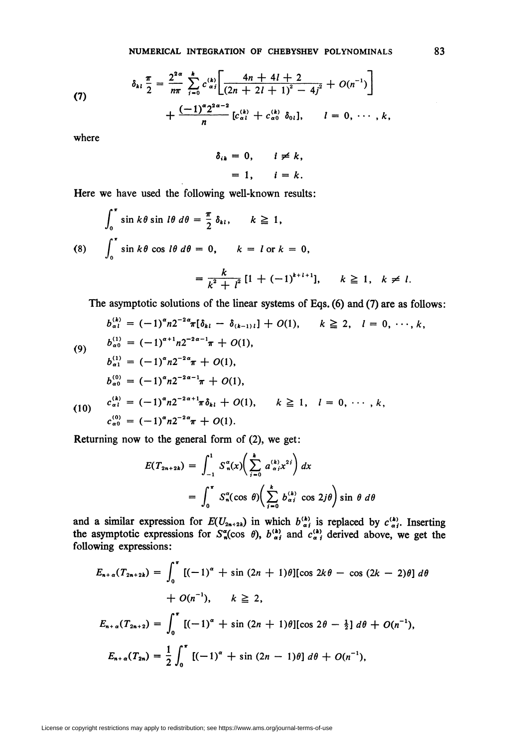(7) 
$$
\delta_{kl} \frac{\pi}{2} = \frac{2^{2\alpha}}{n\pi} \sum_{i=0}^{k} c_{\alpha i}^{(k)} \left[ \frac{4n+4l+2}{(2n+2l+1)^2-4j^2} + O(n^{-1}) \right] + \frac{(-1)^{\alpha} 2^{2\alpha-2}}{n} [c_{\alpha l}^{(k)} + c_{\alpha 0}^{(k)} \delta_{0l}], \quad l = 0, \cdots, k,
$$

where

$$
\delta_{ik} = 0, \quad i \neq k,
$$
  
= 1, \quad i = k.

Here we have used the following well-known results:

$$
\int_0^{\pi} \sin k\theta \sin l\theta \, d\theta = \frac{\pi}{2} \, \delta_{kl}, \qquad k \ge 1,
$$
\n
$$
\text{(8)} \qquad \int_0^{\pi} \sin k\theta \, \cos l\theta \, d\theta = 0, \qquad k = l \text{ or } k = 0,
$$
\n
$$
= \frac{k}{k^2 + l^2} \left[ 1 + (-1)^{k+l+1} \right], \qquad k \ge 1, \quad k \ne l.
$$

The asymptotic solutions of the linear systems of Eqs. (6) and (7) are as follows:

$$
b_{\alpha l}^{(k)} = (-1)^{\alpha} n 2^{-2\alpha} \pi [\delta_{kl} - \delta_{(k-1)l}] + O(1), \qquad k \ge 2, \quad l = 0, \dots, k,
$$
  
\n(9) 
$$
b_{\alpha 0}^{(1)} = (-1)^{\alpha+1} n 2^{-2\alpha-1} \pi + O(1),
$$
  
\n
$$
b_{\alpha 1}^{(1)} = (-1)^{\alpha} n 2^{-2\alpha} \pi + O(1),
$$
  
\n
$$
b_{\alpha 0}^{(0)} = (-1)^{\alpha} n 2^{-2\alpha-1} \pi + O(1),
$$
  
\n(10) 
$$
c_{\alpha l}^{(k)} = (-1)^{\alpha} n 2^{-2\alpha+1} \pi \delta_{kl} + O(1), \qquad k \ge 1, \quad l = 0, \dots, k,
$$
  
\n
$$
c_{\alpha 0}^{(0)} = (-1)^{\alpha} n 2^{-2\alpha} \pi + O(1).
$$

Returning now to the general form of (2), we get:

$$
E(T_{2n+2k}) = \int_{-1}^{1} S_n^{\alpha}(x) \left( \sum_{i=0}^{k} a_{\alpha i}^{(k)} x^{2i} \right) dx
$$
  
= 
$$
\int_{0}^{\pi} S_n^{\alpha}(\cos \theta) \left( \sum_{i=0}^{k} b_{\alpha i}^{(k)} \cos 2j\theta \right) \sin \theta d\theta
$$

and a similar expression for  $E(U_{2n+2k})$  in which  $b_{\alpha j}^{(k)}$  is replaced by  $c_{\alpha j}^{(k)}$ . Inserting<br>the asymptotic expressions for  $S_n^{\alpha}(\cos \theta)$ ,  $b_{\alpha j}^{(k)}$  and  $c_{\alpha j}^{(k)}$  derived above, we get the<br>following express

$$
E_{n+\alpha}(T_{2n+2k}) = \int_0^{\pi} [(-1)^{\alpha} + \sin (2n + 1)\theta][\cos 2k\theta - \cos (2k - 2)\theta] d\theta
$$
  
+  $O(n^{-1}), \qquad k \ge 2,$   

$$
E_{n+\alpha}(T_{2n+2}) = \int_0^{\pi} [(-1)^{\alpha} + \sin (2n + 1)\theta][\cos 2\theta - \frac{1}{2}] d\theta + O(n^{-1}),
$$
  

$$
E_{n+\alpha}(T_{2n}) = \frac{1}{2} \int_0^{\pi} [(-1)^{\alpha} + \sin (2n - 1)\theta] d\theta + O(n^{-1}),
$$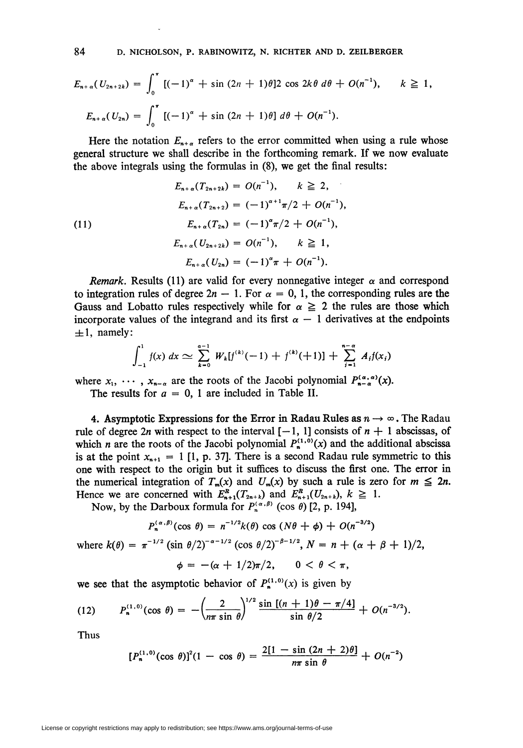84 D. NICHOLSON, P. RABINOWITZ, N. RICHTER AND D. ZEILBERGER

$$
E_{n+\alpha}(U_{2n+2k}) = \int_0^{\pi} [(-1)^{\alpha} + \sin (2n + 1)\theta] 2 \cos 2k\theta d\theta + O(n^{-1}), \qquad k \ge 1,
$$
  

$$
E_{n+\alpha}(U_{2n}) = \int_0^{\pi} [(-1)^{\alpha} + \sin (2n + 1)\theta] d\theta + O(n^{-1}).
$$

Here the notation  $E_{n+\alpha}$  refers to the error committed when using a rule whose general structure we shall describe in the forthcoming remark. If we now evaluate the above integrals using the formulas in (8), we get the final results:

(11)  
\n
$$
E_{n+\alpha}(T_{2n+2k}) = O(n^{-1}), \quad k \ge 2,
$$
\n
$$
E_{n+\alpha}(T_{2n+2}) = (-1)^{\alpha+1}\pi/2 + O(n^{-1}),
$$
\n
$$
E_{n+\alpha}(T_{2n}) = (-1)^{\alpha}\pi/2 + O(n^{-1}),
$$
\n
$$
E_{n+\alpha}(U_{2n+2k}) = O(n^{-1}), \quad k \ge 1,
$$
\n
$$
E_{n+\alpha}(U_{2n}) = (-1)^{\alpha}\pi + O(n^{-1}).
$$

*Remark.* Results (11) are valid for every nonnegative integer  $\alpha$  and correspond to integration rules of degree  $2n - 1$ . For  $\alpha = 0, 1$ , the corresponding rules are the Gauss and Lobatto rules respectively while for  $\alpha \ge 2$  the rules are those which incorporate values of the integrand and its first  $\alpha - 1$  derivatives at the endpoints  $\pm 1$ , namely:

$$
\int_{-1}^{1} f(x) \ dx \simeq \sum_{k=0}^{a-1} W_k[f^{(k)}(-1) + f^{(k)}(+1)] + \sum_{j=1}^{n-a} A_j f(x_j)
$$

where  $x_1, \dots, x_{n-\alpha}$  are the roots of the Jacobi polynomial  $P_{n-\alpha}^{(\alpha,\alpha)}(x)$ .

The results for  $a = 0$ , 1 are included in Table II.

4. Asymptotic Expressions for the Error in Radau Rules as  $n \to \infty$ . The Radau rule of degree 2n with respect to the interval  $[-1, 1]$  consists of  $n + 1$  abscissas, of which *n* are the roots of the Jacobi polynomial  $P_n^{(1,0)}(x)$  and the additional abscissa is at the point  $x_{n+1} = 1$  [1, p. 37]. There is a second Radau rule symmetric to this one with respect to the origin but it suffices to discuss the first one. The error in the numerical integration of  $T_m(x)$  and  $U_m(x)$  by such a rule is zero for  $m \leq 2n$ . Hence we are concerned with  $E_{n+1}^{\mu}(T_{2n+k})$  and  $E_{n+1}^{\mu}(U_{2n+k}), k \geq$ 

Now, by the Darboux formula for  $P_n^{(\alpha,\beta)}$  (cos  $\theta$ ) [2, p. 194],

$$
P_n^{(\alpha,\beta)}(\cos\,\theta)=n^{-1/2}k(\theta)\,\cos\,(N\theta+\phi)+O(n^{-3/2})
$$

where  $k(\theta) = \pi^{-1/2} (\sin \theta/2)^{-\alpha-1/2} (\cos \theta/2)^{-\beta-1/2}, N = n + (\alpha + \beta + 1)/2,$  $\phi = -(\alpha + 1/2)\pi/2, \quad 0 < \theta < \pi,$ 

we see that the asymptotic behavior of  $P_n^{(1,0)}(x)$  is given by

(12) 
$$
P_n^{(1,0)}(\cos \theta) = -\left(\frac{2}{n\pi \sin \theta}\right)^{1/2} \frac{\sin [(n+1)\theta - \pi/4]}{\sin \theta/2} + O(n^{-3/2}).
$$

Thus

$$
[P_n^{(1,0)}(\cos\,\theta)]^2(1-\cos\,\theta)=\frac{2[1-\sin\,(2n+2)\theta]}{n\pi\,\sin\,\theta}+O(n^{-2})
$$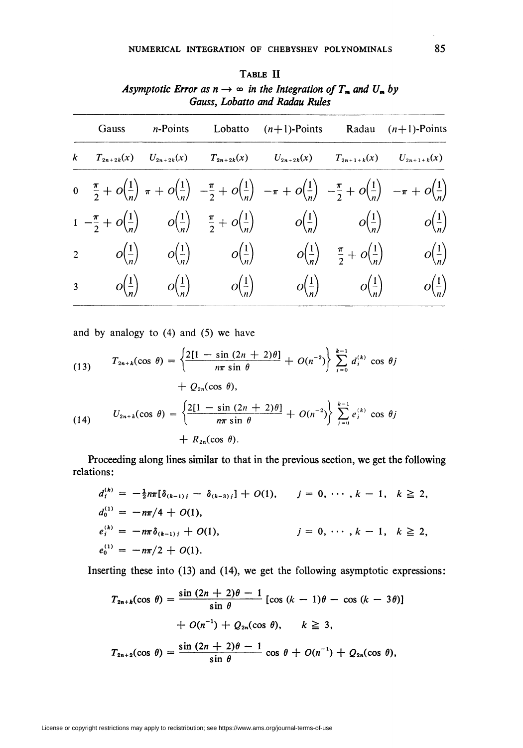| Gauss | <i>n</i> -Points |                                                      | Lobatto $(n+1)$ -Points                                                                                                                                                                                                                             |                                                                       | Radau $(n+1)$ -Points |
|-------|------------------|------------------------------------------------------|-----------------------------------------------------------------------------------------------------------------------------------------------------------------------------------------------------------------------------------------------------|-----------------------------------------------------------------------|-----------------------|
|       |                  |                                                      | $k$ $T_{2n+2k}(x)$ $U_{2n+2k}(x)$ $T_{2n+2k}(x)$ $U_{2n+2k}(x)$ $T_{2n+1+k}(x)$ $U_{2n+1+k}(x)$                                                                                                                                                     |                                                                       |                       |
|       |                  |                                                      | $0 \quad \frac{\pi}{2} + O\left(\frac{1}{n}\right) \pi + O\left(\frac{1}{n}\right) \ -\frac{\pi}{2} + O\left(\frac{1}{n}\right) \ -\pi + O\left(\frac{1}{n}\right) \ -\frac{\pi}{2} + O\left(\frac{1}{n}\right) \ -\pi + O\left(\frac{1}{n}\right)$ |                                                                       |                       |
|       |                  |                                                      | $1 - \frac{\pi}{2} + O(\frac{1}{n})$ $O(\frac{1}{n}) = \frac{\pi}{2} + O(\frac{1}{n})$ $O(\frac{1}{n}) = O(\frac{1}{n})$ $O(\frac{1}{n})$                                                                                                           |                                                                       |                       |
|       |                  | 2 $o(\frac{1}{n})$ $o(\frac{1}{n})$ $o(\frac{1}{n})$ |                                                                                                                                                                                                                                                     | $o\left(\frac{1}{n}\right)$ $\frac{\pi}{2}+o\left(\frac{1}{n}\right)$ | $O(\frac{1}{n})$      |
|       |                  | 3 $o(\frac{1}{n})$ $o(\frac{1}{n})$ $o(\frac{1}{n})$ |                                                                                                                                                                                                                                                     | $o(\frac{1}{n})$ $o(\frac{1}{n})$                                     | $o(\frac{1}{n})$      |
|       |                  |                                                      |                                                                                                                                                                                                                                                     |                                                                       |                       |

| TABLE II                                                                    |  |  |  |  |  |
|-----------------------------------------------------------------------------|--|--|--|--|--|
| Asymptotic Error as $n \to \infty$ in the Integration of $T_m$ and $U_m$ by |  |  |  |  |  |
| Gauss, Lobatto and Radau Rules                                              |  |  |  |  |  |

and by analogy to  $(4)$  and  $(5)$  we have

(13) 
$$
T_{2n+k}(\cos \theta) = \left\{ \frac{2[1 - \sin (2n + 2)\theta]}{n\pi \sin \theta} + O(n^{-2}) \right\} \sum_{i=0}^{k-1} d_i^{(k)} \cos \theta j + Q_{2n}(\cos \theta),
$$
  
\n
$$
U_{2n+k}(\cos \theta) = \left\{ \frac{2[1 - \sin (2n + 2)\theta]}{n\pi \sin \theta} + O(n^{-2}) \right\} \sum_{i=0}^{k-1} e_i^{(k)} \cos \theta j + R_{2n}(\cos \theta).
$$

Proceeding along lines similar to that in the previous section, we get the following relations:

$$
d_i^{(k)} = -\frac{1}{2}n\pi[\delta_{(k-1)i} - \delta_{(k-3)i}] + O(1), \qquad j = 0, \cdots, k-1, \quad k \ge 2,
$$
  
\n
$$
d_0^{(1)} = -n\pi/4 + O(1),
$$
  
\n
$$
e_i^{(k)} = -n\pi\delta_{(k-1)i} + O(1), \qquad j = 0, \cdots, k-1, \quad k \ge 2,
$$
  
\n
$$
e_0^{(1)} = -n\pi/2 + O(1).
$$

Inserting these into (13) and (14), we get the following asymptotic expressions:

$$
T_{2n+k}(\cos \theta) = \frac{\sin (2n+2)\theta - 1}{\sin \theta} [\cos (k-1)\theta - \cos (k-3\theta)]
$$

$$
+ O(n^{-1}) + Q_{2n}(\cos \theta), \qquad k \ge 3,
$$

$$
T_{2n+2}(\cos \theta) = \frac{\sin (2n+2)\theta - 1}{\sin \theta} \cos \theta + O(n^{-1}) + Q_{2n}(\cos \theta),
$$